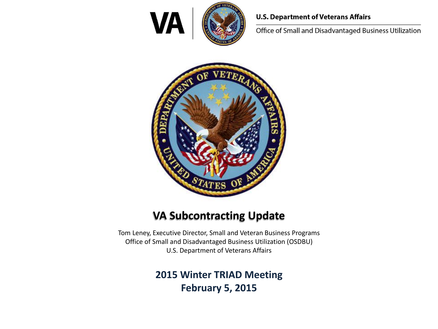

#### **U.S. Department of Veterans Affairs**

Office of Small and Disadvantaged Business Utilization



### **VA Subcontracting Update**

Tom Leney, Executive Director, Small and Veteran Business Programs Office of Small and Disadvantaged Business Utilization (OSDBU) U.S. Department of Veterans Affairs

#### **2015 Winter TRIAD Meeting February 5, 2015**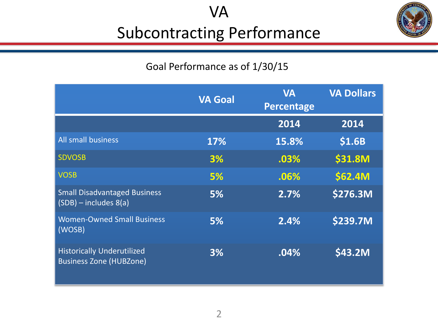VA

## Subcontracting Performance



### Goal Performance as of 1/30/15

|                                                                     | <b>VA Goal</b> | <b>VA</b><br>Percentage | <b>VA Dollars</b> |
|---------------------------------------------------------------------|----------------|-------------------------|-------------------|
|                                                                     |                | 2014                    | 2014              |
| <b>All small business</b>                                           | 17%            | 15.8%                   | \$1.6B            |
| <b>SDVOSB</b>                                                       | 3%             | .03%                    | <b>\$31.8M</b>    |
| <b>VOSB</b>                                                         | 5%             | .06%                    | \$62.4M           |
| <b>Small Disadvantaged Business</b><br>$(SDB)$ – includes $8(a)$    | 5%             | 2.7%                    | \$276.3M          |
| <b>Women-Owned Small Business</b><br>(WOSB)                         | 5%             | 2.4%                    | \$239.7M          |
| <b>Historically Underutilized</b><br><b>Business Zone (HUBZone)</b> | 3%             | .04%                    | \$43.2M           |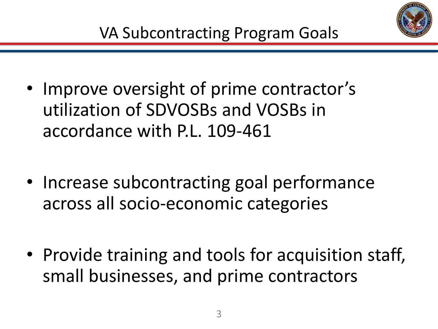

- Improve oversight of prime contractor's utilization of SDVOSBs and VOSBs in accordance with P.L. 109-461
- Increase subcontracting goal performance across all socio-economic categories
- Provide training and tools for acquisition staff, small businesses, and prime contractors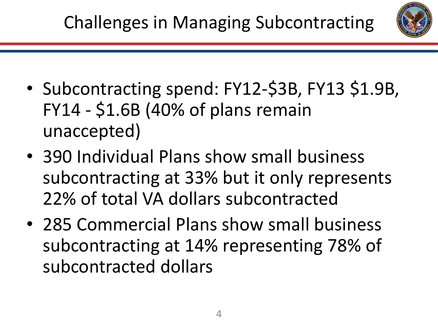- Subcontracting spend: FY12-\$3B, FY13 \$1.9B, FY14 - \$1.6B (40% of plans remain unaccepted)
- 390 Individual Plans show small business subcontracting at 33% but it only represents 22% of total VA dollars subcontracted
- 285 Commercial Plans show small business subcontracting at 14% representing 78% of subcontracted dollars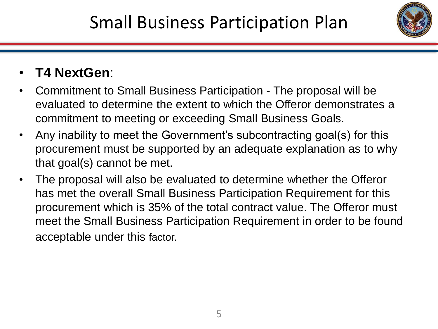

### • **T4 NextGen**:

- Commitment to Small Business Participation The proposal will be evaluated to determine the extent to which the Offeror demonstrates a commitment to meeting or exceeding Small Business Goals.
- Any inability to meet the Government's subcontracting goal(s) for this procurement must be supported by an adequate explanation as to why that goal(s) cannot be met.
- The proposal will also be evaluated to determine whether the Offeror has met the overall Small Business Participation Requirement for this procurement which is 35% of the total contract value. The Offeror must meet the Small Business Participation Requirement in order to be found acceptable under this factor.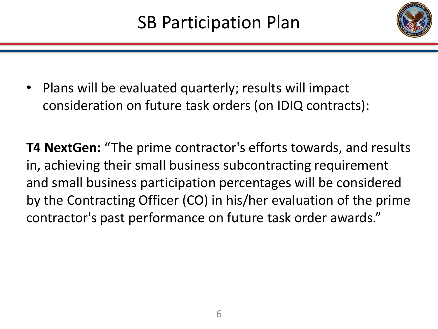

• Plans will be evaluated quarterly; results will impact consideration on future task orders (on IDIQ contracts):

**T4 NextGen:** "The prime contractor's efforts towards, and results in, achieving their small business subcontracting requirement and small business participation percentages will be considered by the Contracting Officer (CO) in his/her evaluation of the prime contractor's past performance on future task order awards."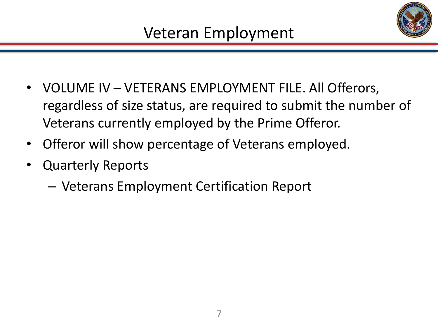

- VOLUME IV VETERANS EMPLOYMENT FILE. All Offerors, regardless of size status, are required to submit the number of Veterans currently employed by the Prime Offeror.
- Offeror will show percentage of Veterans employed.
- Quarterly Reports
	- Veterans Employment Certification Report